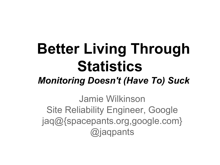# **Better Living Through Statistics**

### *Monitoring Doesn't (Have To) Suck*

Jamie Wilkinson Site Reliability Engineer, Google jaq@{spacepants.org,google.com} @jaqpants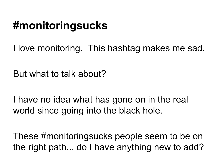# **#monitoringsucks**

I love monitoring. This hashtag makes me sad.

But what to talk about?

I have no idea what has gone on in the real world since going into the black hole.

These #monitoringsucks people seem to be on the right path... do I have anything new to add?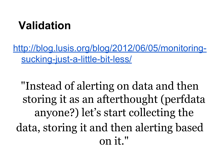## **Validation**

[http://blog.lusis.org/blog/2012/06/05/monitoring](http://blog.lusis.org/blog/2012/06/05/monitoring-sucking-just-a-little-bit-less/)[sucking-just-a-little-bit-less/](http://blog.lusis.org/blog/2012/06/05/monitoring-sucking-just-a-little-bit-less/)

"Instead of alerting on data and then storing it as an afterthought (perfdata anyone?) let's start collecting the data, storing it and then alerting based on it."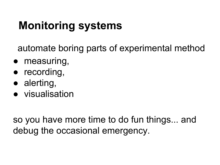# **Monitoring systems**

automate boring parts of experimental method

- measuring,
- recording,
- alerting,
- visualisation

so you have more time to do fun things... and debug the occasional emergency.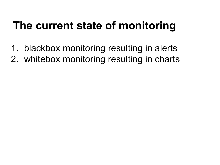# **The current state of monitoring**

- 1. blackbox monitoring resulting in alerts
- 2. whitebox monitoring resulting in charts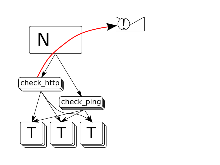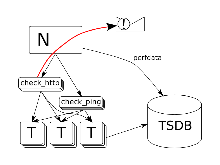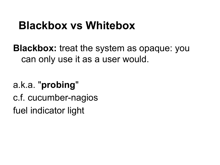### **Blackbox vs Whitebox**

**Blackbox:** treat the system as opaque: you can only use it as a user would.

### a.k.a. "**probing**"

c.f. cucumber-nagios

fuel indicator light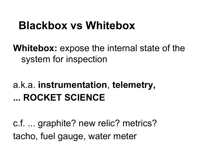### **Blackbox vs Whitebox**

**Whitebox:** expose the internal state of the system for inspection

### a.k.a. **instrumentation**, **telemetry, ... ROCKET SCIENCE**

c.f. ... graphite? new relic? metrics? tacho, fuel gauge, water meter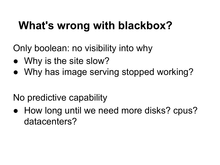# **What's wrong with blackbox?**

Only boolean: no visibility into why

- Why is the site slow?
- Why has image serving stopped working?

No predictive capability

• How long until we need more disks? cpus? datacenters?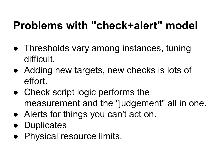# **Problems with "check+alert" model**

- Thresholds vary among instances, tuning difficult.
- Adding new targets, new checks is lots of effort.
- Check script logic performs the measurement and the "judgement" all in one.
- Alerts for things you can't act on.
- Duplicates
- Physical resource limits.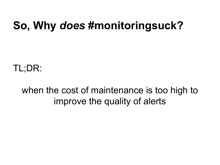## **So, Why** *does* **#monitoringsuck?**

TL;DR:

#### when the cost of maintenance is too high to improve the quality of alerts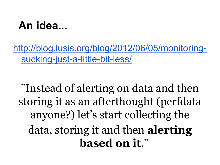### **An idea...**

[http://blog.lusis.org/blog/2012/06/05/monitoring](http://blog.lusis.org/blog/2012/06/05/monitoring-sucking-just-a-little-bit-less/)[sucking-just-a-little-bit-less/](http://blog.lusis.org/blog/2012/06/05/monitoring-sucking-just-a-little-bit-less/)

"Instead of alerting on data and then storing it as an afterthought (perfdata anyone?) let's start collecting the data, storing it and then **alerting based on it**."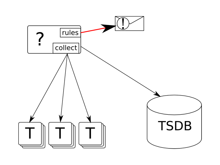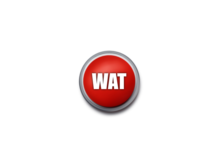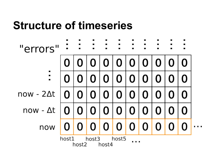### **Structure of timeseries**

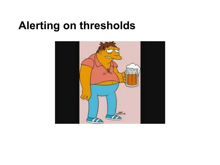### **Alerting on thresholds**

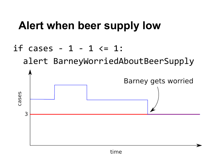# **Alert when beer supply low**

#### if cases - 1 - 1  $\le$  1:

alert BarneyWorriedAboutBeerSupply

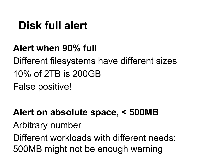## **Disk full alert**

**Alert when 90% full**

Different filesystems have different sizes 10% of 2TB is 200GB False positive!

**Alert on absolute space, < 500MB**

Arbitrary number

Different workloads with different needs: 500MB might not be enough warning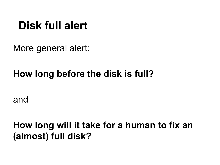### **Disk full alert**

More general alert:

#### **How long before the disk is full?**

and

**How long will it take for a human to fix an (almost) full disk?**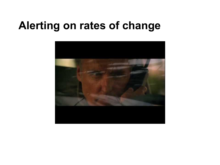### **Alerting on rates of change**

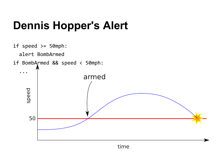# **Dennis Hopper's Alert**

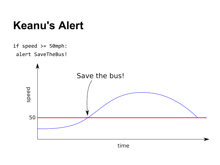### **Keanu's Alert**

```
if speed >= 50 mph:alert SaveTheBus!
```
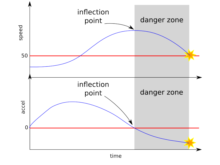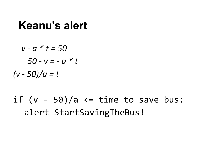### **Keanu's alert**

$$
v - a * t = 50
$$

$$
50 - v = -a * t
$$

$$
(v - 50)/a = t
$$

if  $(v - 50)/a \leq t$  ime to save bus: alert StartSavingTheBus!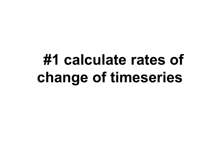# **#1 calculate rates of change of timeseries**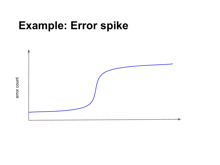### **Example: Error spike**



error count error count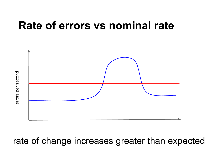### **Rate of errors vs nominal rate**

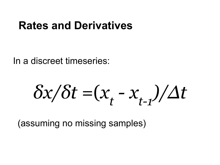### **Rates and Derivatives**

In a discreet timeseries:

*δx/δt* =  $(x_t - x_{t-1})/Δt$ 

(assuming no missing samples)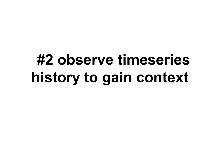# **#2 observe timeseries history to gain context**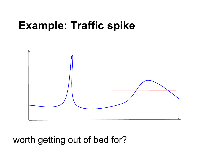### **Example: Traffic spike**



#### worth getting out of bed for?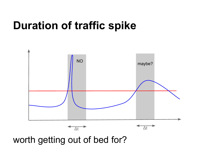### **Duration of traffic spike**



worth getting out of bed for?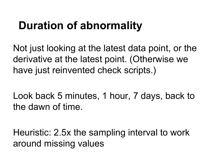# **Duration of abnormality**

Not just looking at the latest data point, or the derivative at the latest point. (Otherwise we have just reinvented check scripts.)

Look back 5 minutes, 1 hour, 7 days, back to the dawn of time.

Heuristic: 2.5x the sampling interval to work around missing values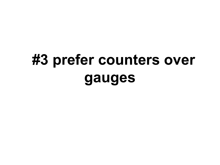# **#3 prefer counters over gauges**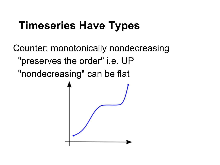# **Timeseries Have Types**

Counter: monotonically nondecreasing "preserves the order" i.e. UP "nondecreasing" can be flat

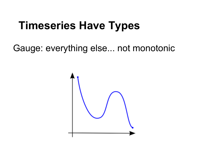# **Timeseries Have Types**

Gauge: everything else... not monotonic

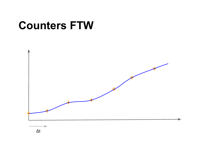## **Counters FTW**

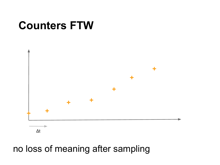## **Counters FTW**



#### no loss of meaning after sampling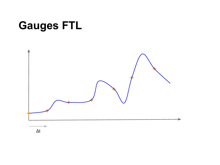# **Gauges FTL**

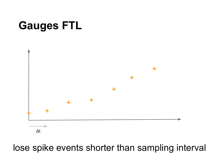# **Gauges FTL**



lose spike events shorter than sampling interval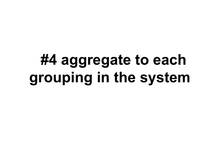# **#4 aggregate to each grouping in the system**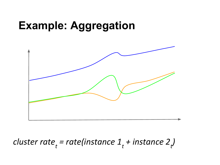## **Example: Aggregation**



### *cluster rate<sub>t</sub>* = rate(instance 1<sub>t</sub> + instance 2<sub>t</sub>)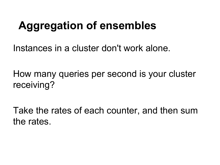# **Aggregation of ensembles**

Instances in a cluster don't work alone.

How many queries per second is your cluster receiving?

Take the rates of each counter, and then sum the rates.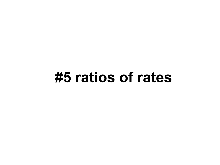# **#5 ratios of rates**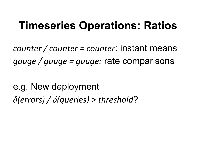## **Timeseries Operations: Ratios**

*counter / counter = counter*: instant means *gauge / gauge = gauge:* rate comparisons

e.g. New deployment *δ(errors) / δ(queries) > threshold*?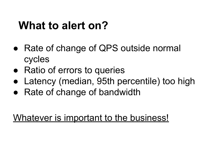### **What to alert on?**

- Rate of change of QPS outside normal cycles
- Ratio of errors to queries
- Latency (median, 95th percentile) too high
- Rate of change of bandwidth

Whatever is important to the business!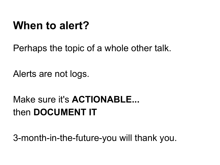### **When to alert?**

Perhaps the topic of a whole other talk.

Alerts are not logs.

### Make sure it's **ACTIONABLE...** then **DOCUMENT IT**

3-month-in-the-future-you will thank you.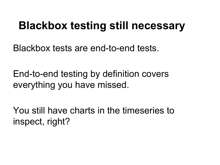### **Blackbox testing still necessary**

Blackbox tests are end-to-end tests.

End-to-end testing by definition covers everything you have missed.

You still have charts in the timeseries to inspect, right?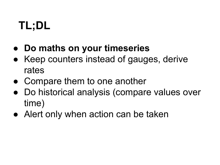# **TL;DL**

- **Do maths on your timeseries**
- Keep counters instead of gauges, derive rates
- Compare them to one another
- Do historical analysis (compare values over time)
- Alert only when action can be taken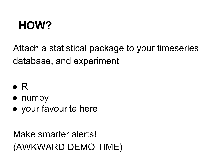# **HOW?**

Attach a statistical package to your timeseries database, and experiment

- $\bullet$  R
- numpy
- your favourite here

Make smarter alerts! (AWKWARD DEMO TIME)